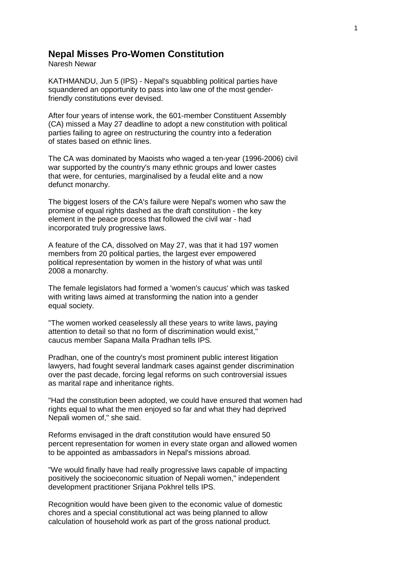## **Nepal Misses Pro-Women Constitution**

Naresh Newar

KATHMANDU, Jun 5 (IPS) - Nepal's squabbling political parties have squandered an opportunity to pass into law one of the most genderfriendly constitutions ever devised.

After four years of intense work, the 601-member Constituent Assembly (CA) missed a May 27 deadline to adopt a new constitution with political parties failing to agree on restructuring the country into a federation of states based on ethnic lines.

The CA was dominated by Maoists who waged a ten-year (1996-2006) civil war supported by the country's many ethnic groups and lower castes that were, for centuries, marginalised by a feudal elite and a now defunct monarchy.

The biggest losers of the CA's failure were Nepal's women who saw the promise of equal rights dashed as the draft constitution - the key element in the peace process that followed the civil war - had incorporated truly progressive laws.

A feature of the CA, dissolved on May 27, was that it had 197 women members from 20 political parties, the largest ever empowered political representation by women in the history of what was until 2008 a monarchy.

The female legislators had formed a 'women's caucus' which was tasked with writing laws aimed at transforming the nation into a gender equal society.

"The women worked ceaselessly all these years to write laws, paying attention to detail so that no form of discrimination would exist," caucus member Sapana Malla Pradhan tells IPS.

Pradhan, one of the country's most prominent public interest litigation lawyers, had fought several landmark cases against gender discrimination over the past decade, forcing legal reforms on such controversial issues as marital rape and inheritance rights.

"Had the constitution been adopted, we could have ensured that women had rights equal to what the men enjoyed so far and what they had deprived Nepali women of," she said.

Reforms envisaged in the draft constitution would have ensured 50 percent representation for women in every state organ and allowed women to be appointed as ambassadors in Nepal's missions abroad.

"We would finally have had really progressive laws capable of impacting positively the socioeconomic situation of Nepali women," independent development practitioner Srijana Pokhrel tells IPS.

Recognition would have been given to the economic value of domestic chores and a special constitutional act was being planned to allow calculation of household work as part of the gross national product.